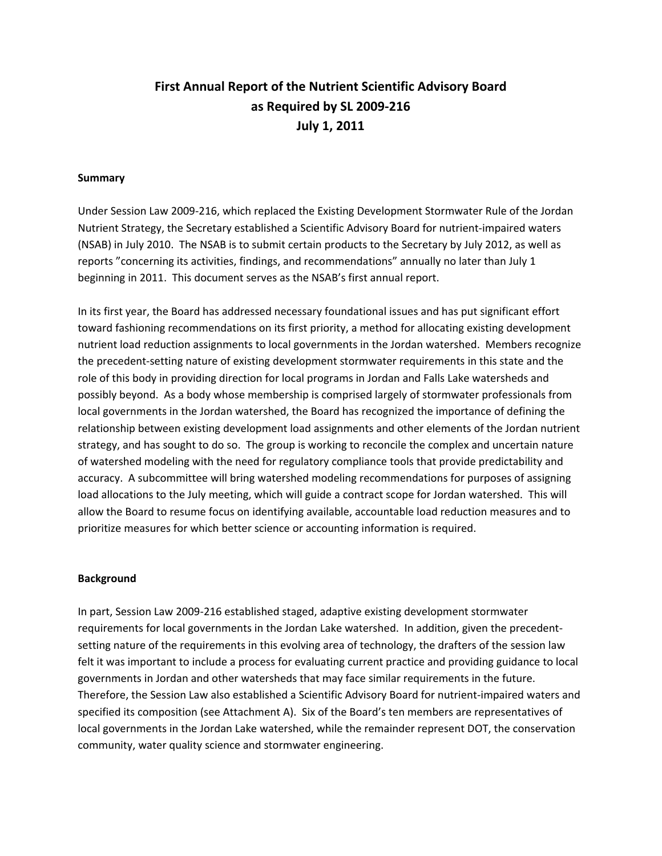# **First Annual Report of the Nutrient Scientific Advisory Board as Required by SL 2009‐216 July 1, 2011**

#### **Summary**

Under Session Law 2009‐216, which replaced the Existing Development Stormwater Rule of the Jordan Nutrient Strategy, the Secretary established a Scientific Advisory Board for nutrient‐impaired waters (NSAB) in July 2010. The NSAB is to submit certain products to the Secretary by July 2012, as well as reports "concerning its activities, findings, and recommendations" annually no later than July 1 beginning in 2011. This document serves as the NSAB's first annual report.

In its first year, the Board has addressed necessary foundational issues and has put significant effort toward fashioning recommendations on its first priority, a method for allocating existing development nutrient load reduction assignments to local governments in the Jordan watershed. Members recognize the precedent‐setting nature of existing development stormwater requirements in this state and the role of this body in providing direction for local programs in Jordan and Falls Lake watersheds and possibly beyond. As a body whose membership is comprised largely of stormwater professionals from local governments in the Jordan watershed, the Board has recognized the importance of defining the relationship between existing development load assignments and other elements of the Jordan nutrient strategy, and has sought to do so. The group is working to reconcile the complex and uncertain nature of watershed modeling with the need for regulatory compliance tools that provide predictability and accuracy. A subcommittee will bring watershed modeling recommendations for purposes of assigning load allocations to the July meeting, which will guide a contract scope for Jordan watershed. This will allow the Board to resume focus on identifying available, accountable load reduction measures and to prioritize measures for which better science or accounting information is required.

#### **Background**

In part, Session Law 2009‐216 established staged, adaptive existing development stormwater requirements for local governments in the Jordan Lake watershed. In addition, given the precedentsetting nature of the requirements in this evolving area of technology, the drafters of the session law felt it was important to include a process for evaluating current practice and providing guidance to local governments in Jordan and other watersheds that may face similar requirements in the future. Therefore, the Session Law also established a Scientific Advisory Board for nutrient‐impaired waters and specified its composition (see Attachment A). Six of the Board's ten members are representatives of local governments in the Jordan Lake watershed, while the remainder represent DOT, the conservation community, water quality science and stormwater engineering.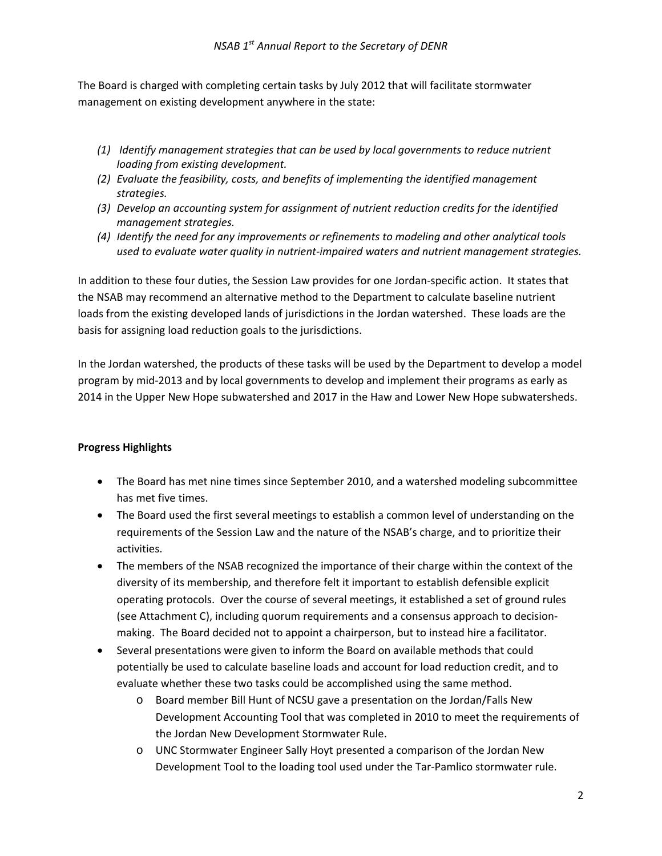The Board is charged with completing certain tasks by July 2012 that will facilitate stormwater management on existing development anywhere in the state:

- *(1) Identify management strategies that can be used by local governments to reduce nutrient loading from existing development.*
- *(2) Evaluate the feasibility, costs, and benefits of implementing the identified management strategies.*
- *(3) Develop an accounting system for assignment of nutrient reduction credits for the identified management strategies.*
- *(4) Identify the need for any improvements or refinements to modeling and other analytical tools used to evaluate water quality in nutrient‐impaired waters and nutrient management strategies.*

In addition to these four duties, the Session Law provides for one Jordan‐specific action. It states that the NSAB may recommend an alternative method to the Department to calculate baseline nutrient loads from the existing developed lands of jurisdictions in the Jordan watershed. These loads are the basis for assigning load reduction goals to the jurisdictions.

In the Jordan watershed, the products of these tasks will be used by the Department to develop a model program by mid‐2013 and by local governments to develop and implement their programs as early as 2014 in the Upper New Hope subwatershed and 2017 in the Haw and Lower New Hope subwatersheds.

## **Progress Highlights**

- The Board has met nine times since September 2010, and a watershed modeling subcommittee has met five times.
- The Board used the first several meetings to establish a common level of understanding on the requirements of the Session Law and the nature of the NSAB's charge, and to prioritize their activities.
- The members of the NSAB recognized the importance of their charge within the context of the diversity of its membership, and therefore felt it important to establish defensible explicit operating protocols. Over the course of several meetings, it established a set of ground rules (see Attachment C), including quorum requirements and a consensus approach to decision‐ making. The Board decided not to appoint a chairperson, but to instead hire a facilitator.
- Several presentations were given to inform the Board on available methods that could potentially be used to calculate baseline loads and account for load reduction credit, and to evaluate whether these two tasks could be accomplished using the same method.
	- o Board member Bill Hunt of NCSU gave a presentation on the Jordan/Falls New Development Accounting Tool that was completed in 2010 to meet the requirements of the Jordan New Development Stormwater Rule.
	- o UNC Stormwater Engineer Sally Hoyt presented a comparison of the Jordan New Development Tool to the loading tool used under the Tar‐Pamlico stormwater rule.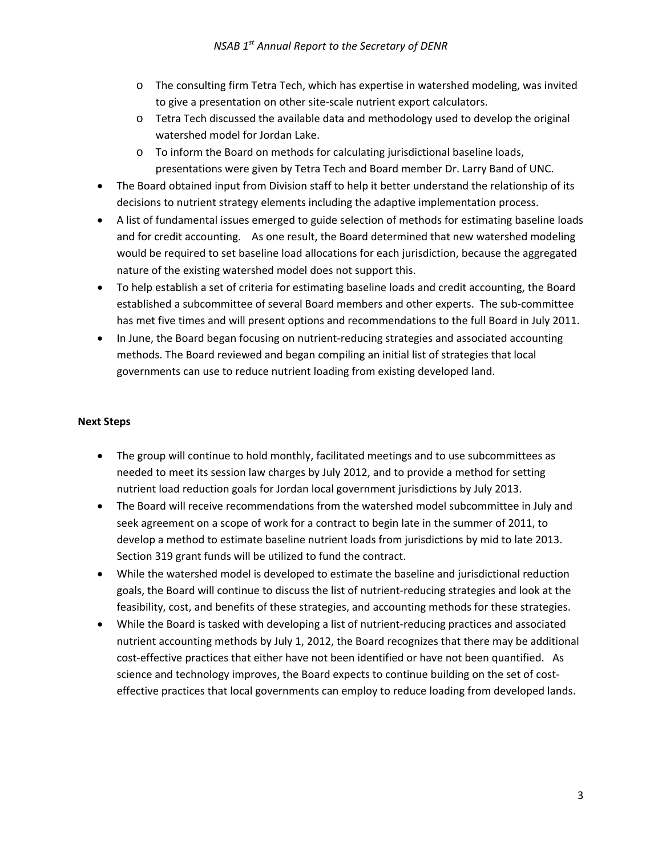- o The consulting firm Tetra Tech, which has expertise in watershed modeling, was invited to give a presentation on other site‐scale nutrient export calculators.
- o Tetra Tech discussed the available data and methodology used to develop the original watershed model for Jordan Lake.
- o To inform the Board on methods for calculating jurisdictional baseline loads, presentations were given by Tetra Tech and Board member Dr. Larry Band of UNC.
- The Board obtained input from Division staff to help it better understand the relationship of its decisions to nutrient strategy elements including the adaptive implementation process.
- A list of fundamental issues emerged to guide selection of methods for estimating baseline loads and for credit accounting. As one result, the Board determined that new watershed modeling would be required to set baseline load allocations for each jurisdiction, because the aggregated nature of the existing watershed model does not support this.
- To help establish a set of criteria for estimating baseline loads and credit accounting, the Board established a subcommittee of several Board members and other experts. The sub‐committee has met five times and will present options and recommendations to the full Board in July 2011.
- In June, the Board began focusing on nutrient‐reducing strategies and associated accounting methods. The Board reviewed and began compiling an initial list of strategies that local governments can use to reduce nutrient loading from existing developed land.

### **Next Steps**

- The group will continue to hold monthly, facilitated meetings and to use subcommittees as needed to meet its session law charges by July 2012, and to provide a method for setting nutrient load reduction goals for Jordan local government jurisdictions by July 2013.
- The Board will receive recommendations from the watershed model subcommittee in July and seek agreement on a scope of work for a contract to begin late in the summer of 2011, to develop a method to estimate baseline nutrient loads from jurisdictions by mid to late 2013. Section 319 grant funds will be utilized to fund the contract.
- While the watershed model is developed to estimate the baseline and jurisdictional reduction goals, the Board will continue to discuss the list of nutrient‐reducing strategies and look at the feasibility, cost, and benefits of these strategies, and accounting methods for these strategies.
- While the Board is tasked with developing a list of nutrient‐reducing practices and associated nutrient accounting methods by July 1, 2012, the Board recognizes that there may be additional cost-effective practices that either have not been identified or have not been quantified. As science and technology improves, the Board expects to continue building on the set of costeffective practices that local governments can employ to reduce loading from developed lands.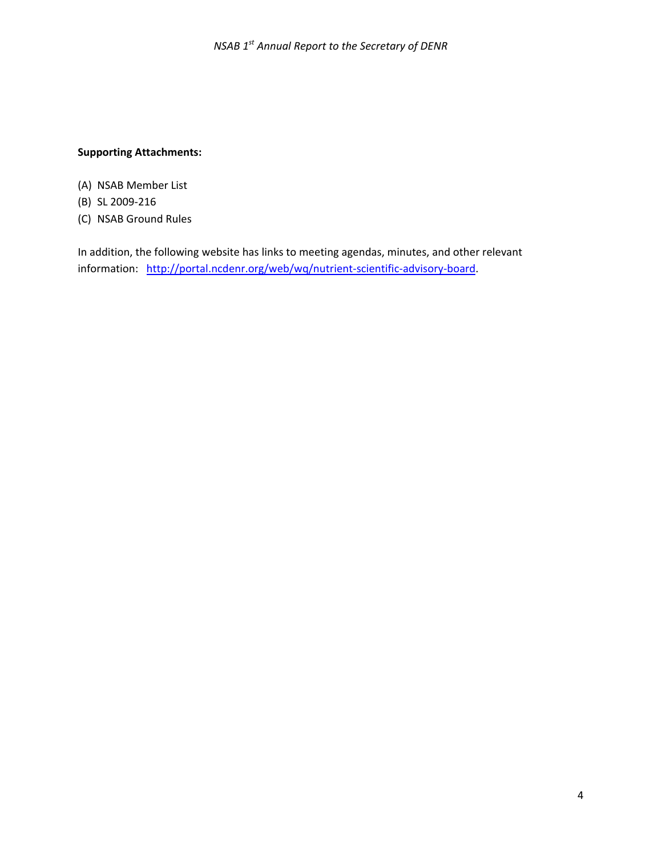### **Supporting Attachments:**

- (A) NSAB Member List
- (B) SL 2009‐216
- (C) NSAB Ground Rules

In addition, the following website has links to meeting agendas, minutes, and other relevant information: http://portal.ncdenr.org/web/wq/nutrient-scientific-advisory-board.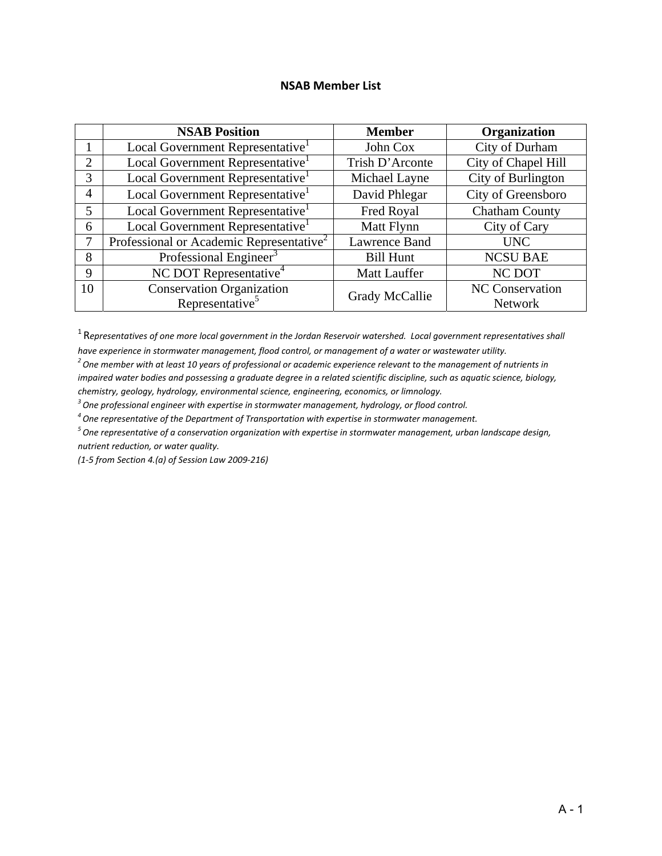### **NSAB Member List**

|                | <b>NSAB Position</b>                                 | <b>Member</b>        | Organization          |
|----------------|------------------------------------------------------|----------------------|-----------------------|
|                | Local Government Representative                      | John Cox             | City of Durham        |
| $\overline{2}$ | Local Government Representative                      | Trish D'Arconte      | City of Chapel Hill   |
| 3              | Local Government Representative                      | Michael Layne        | City of Burlington    |
| $\overline{4}$ | Local Government Representative                      | David Phlegar        | City of Greensboro    |
| 5              | Local Government Representative                      | Fred Royal           | <b>Chatham County</b> |
| 6              | Local Government Representative                      | Matt Flynn           | City of Cary          |
| 7              | Professional or Academic Representative <sup>2</sup> | <b>Lawrence Band</b> | <b>UNC</b>            |
| 8              | Professional Engineer <sup>3</sup>                   | <b>Bill Hunt</b>     | <b>NCSU BAE</b>       |
| 9              | NC DOT Representative <sup>4</sup>                   | <b>Matt Lauffer</b>  | NC DOT                |
| 10             | <b>Conservation Organization</b>                     | Grady McCallie       | NC Conservation       |
|                | Representative <sup>5</sup>                          |                      | Network               |

 $1$  Representatives of one more local government in the Jordan Reservoir watershed. Local government representatives shall *have experience in stormwater management, flood control, or management of a water or wastewater utility.*

 $^{\rm 2}$  One member with at least 10 years of professional or academic experience relevant to the management of nutrients in impaired water bodies and possessing a graduate degree in a related scientific discipline, such as aquatic science, biology, *chemistry, geology, hydrology, environmental science, engineering, economics, or limnology.*

*3 One professional engineer with expertise in stormwater management, hydrology, or flood control.*

*4 One representative of the Department of Transportation with expertise in stormwater management.*

*5 One representative of a conservation organization with expertise in stormwater management, urban landscape design, nutrient reduction, or water quality.*

*(1‐5 from Section 4.(a) of Session Law 2009‐216)*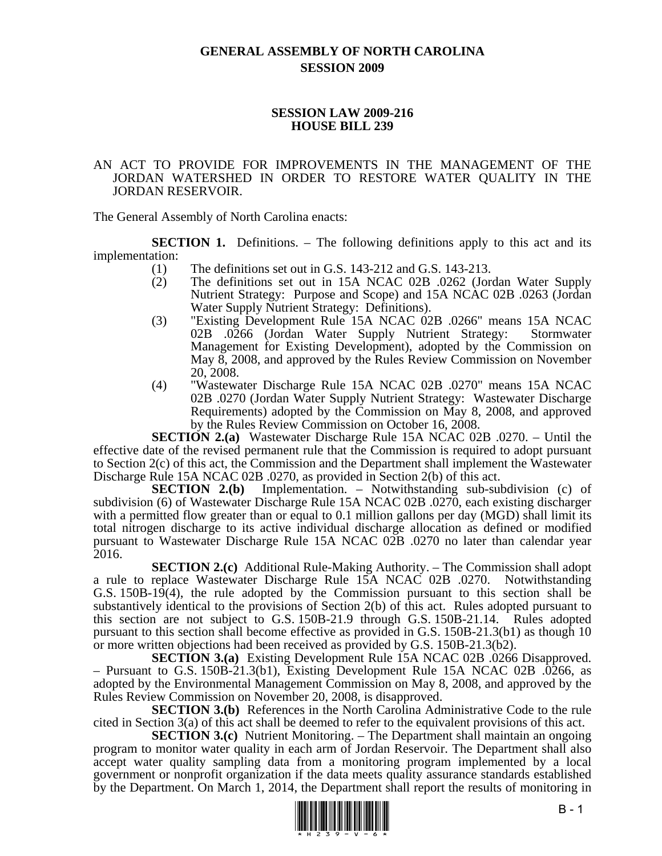### **GENERAL ASSEMBLY OF NORTH CAROLINA SESSION 2009**

### **SESSION LAW 2009-216 HOUSE BILL 239**

### AN ACT TO PROVIDE FOR IMPROVEMENTS IN THE MANAGEMENT OF THE JORDAN WATERSHED IN ORDER TO RESTORE WATER QUALITY IN THE JORDAN RESERVOIR.

The General Assembly of North Carolina enacts:

**SECTION 1.** Definitions. – The following definitions apply to this act and its implementation:

- (1) The definitions set out in G.S. 143-212 and G.S. 143-213.
- (2) The definitions set out in 15A NCAC 02B .0262 (Jordan Water Supply Nutrient Strategy: Purpose and Scope) and 15A NCAC 02B .0263 (Jordan Water Supply Nutrient Strategy: Definitions).
- (3) "Existing Development Rule 15A NCAC 02B .0266" means 15A NCAC 02B .0266 (Jordan Water Supply Nutrient Strategy: Stormwater Management for Existing Development), adopted by the Commission on May 8, 2008, and approved by the Rules Review Commission on November 20, 2008.
- (4) "Wastewater Discharge Rule 15A NCAC 02B .0270" means 15A NCAC 02B .0270 (Jordan Water Supply Nutrient Strategy: Wastewater Discharge Requirements) adopted by the Commission on May 8, 2008, and approved by the Rules Review Commission on October 16, 2008.

**SECTION 2.(a)** Wastewater Discharge Rule 15A NCAC 02B .0270. – Until the effective date of the revised permanent rule that the Commission is required to adopt pursuant to Section 2(c) of this act, the Commission and the Department shall implement the Wastewater Discharge Rule 15A NCAC 02B .0270, as provided in Section 2(b) of this act.

**SECTION 2.(b)** Implementation. – Notwithstanding sub-subdivision (c) of subdivision (6) of Wastewater Discharge Rule 15A NCAC 02B .0270, each existing discharger with a permitted flow greater than or equal to 0.1 million gallons per day (MGD) shall limit its total nitrogen discharge to its active individual discharge allocation as defined or modified pursuant to Wastewater Discharge Rule 15A NCAC 02B .0270 no later than calendar year 2016.

**SECTION 2.(c)** Additional Rule-Making Authority. – The Commission shall adopt a rule to replace Wastewater Discharge Rule 15A NCAC 02B .0270. Notwithstanding G.S. 150B-19(4), the rule adopted by the Commission pursuant to this section shall be substantively identical to the provisions of Section 2(b) of this act. Rules adopted pursuant to this section are not subject to G.S. 150B-21.9 through G.S. 150B-21.14. Rules adopted pursuant to this section shall become effective as provided in G.S. 150B-21.3(b1) as though 10 or more written objections had been received as provided by G.S. 150B-21.3(b2).

**SECTION 3.(a)** Existing Development Rule 15A NCAC 02B .0266 Disapproved. – Pursuant to G.S. 150B-21.3(b1), Existing Development Rule 15A NCAC 02B .0266, as adopted by the Environmental Management Commission on May 8, 2008, and approved by the Rules Review Commission on November 20, 2008, is disapproved.

**SECTION 3.(b)** References in the North Carolina Administrative Code to the rule cited in Section 3(a) of this act shall be deemed to refer to the equivalent provisions of this act.

**SECTION 3.(c)** Nutrient Monitoring. – The Department shall maintain an ongoing program to monitor water quality in each arm of Jordan Reservoir. The Department shall also accept water quality sampling data from a monitoring program implemented by a local government or nonprofit organization if the data meets quality assurance standards established by the Department. On March 1, 2014, the Department shall report the results of monitoring in

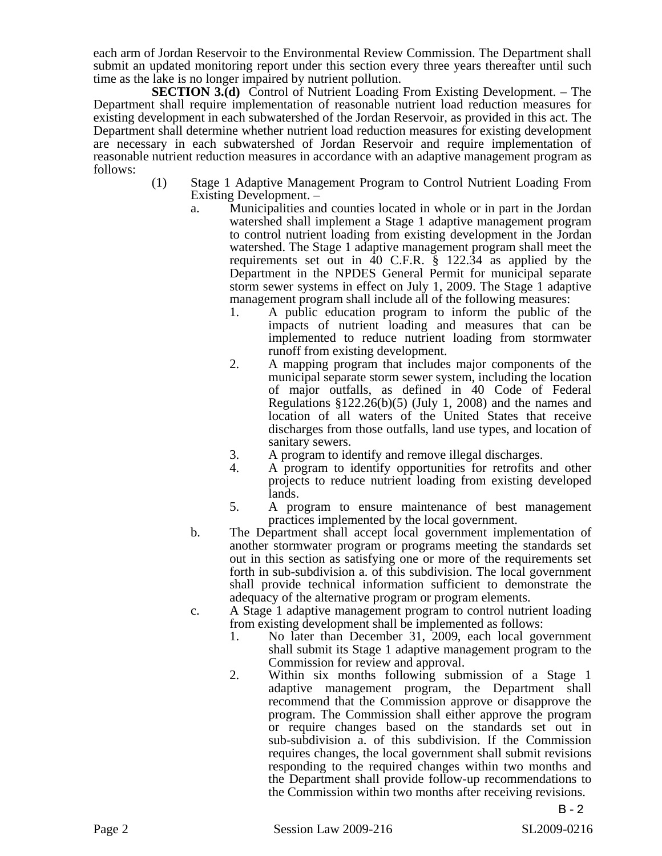each arm of Jordan Reservoir to the Environmental Review Commission. The Department shall submit an updated monitoring report under this section every three years thereafter until such time as the lake is no longer impaired by nutrient pollution.

**SECTION 3.(d)** Control of Nutrient Loading From Existing Development. – The Department shall require implementation of reasonable nutrient load reduction measures for existing development in each subwatershed of the Jordan Reservoir, as provided in this act. The Department shall determine whether nutrient load reduction measures for existing development are necessary in each subwatershed of Jordan Reservoir and require implementation of reasonable nutrient reduction measures in accordance with an adaptive management program as follows:

- (1) Stage 1 Adaptive Management Program to Control Nutrient Loading From Existing Development. –
	- a. Municipalities and counties located in whole or in part in the Jordan watershed shall implement a Stage 1 adaptive management program to control nutrient loading from existing development in the Jordan watershed. The Stage 1 adaptive management program shall meet the requirements set out in 40 C.F.R. § 122.34 as applied by the Department in the NPDES General Permit for municipal separate storm sewer systems in effect on July 1, 2009. The Stage 1 adaptive management program shall include all of the following measures:
		- 1. A public education program to inform the public of the impacts of nutrient loading and measures that can be implemented to reduce nutrient loading from stormwater runoff from existing development.
		- 2. A mapping program that includes major components of the municipal separate storm sewer system, including the location of major outfalls, as defined in 40 Code of Federal Regulations §122.26(b)(5) (July 1, 2008) and the names and location of all waters of the United States that receive discharges from those outfalls, land use types, and location of sanitary sewers.
		- 3. A program to identify and remove illegal discharges.
		- 4. A program to identify opportunities for retrofits and other projects to reduce nutrient loading from existing developed lands.
		- 5. A program to ensure maintenance of best management practices implemented by the local government.
	- b. The Department shall accept local government implementation of another stormwater program or programs meeting the standards set out in this section as satisfying one or more of the requirements set forth in sub-subdivision a. of this subdivision. The local government shall provide technical information sufficient to demonstrate the adequacy of the alternative program or program elements.
	- c. A Stage 1 adaptive management program to control nutrient loading from existing development shall be implemented as follows:
		- 1. No later than December 31, 2009, each local government shall submit its Stage 1 adaptive management program to the Commission for review and approval.
		- 2. Within six months following submission of a Stage 1 adaptive management program, the Department shall recommend that the Commission approve or disapprove the program. The Commission shall either approve the program or require changes based on the standards set out in sub-subdivision a. of this subdivision. If the Commission requires changes, the local government shall submit revisions responding to the required changes within two months and the Department shall provide follow-up recommendations to the Commission within two months after receiving revisions.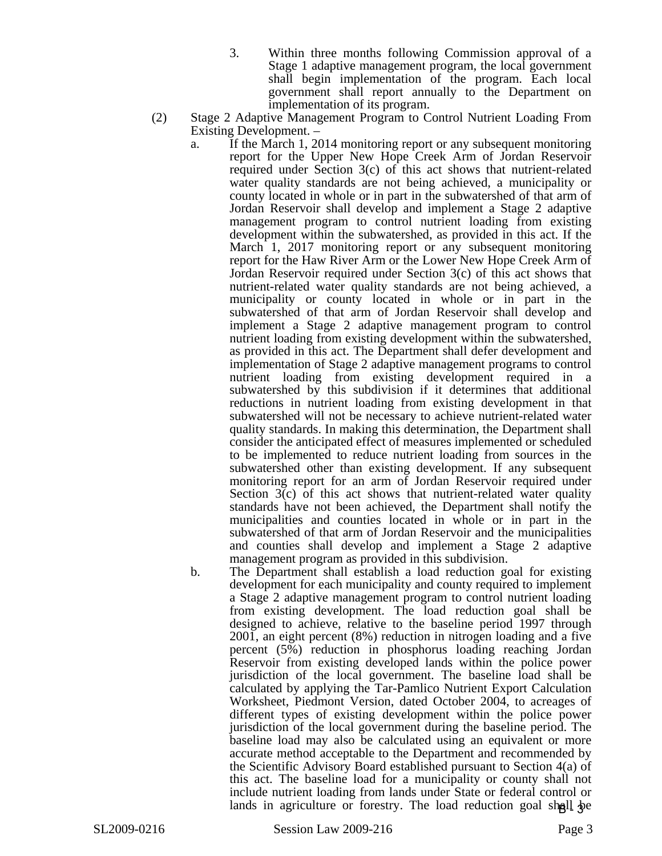- 3. Within three months following Commission approval of a Stage 1 adaptive management program, the local government shall begin implementation of the program. Each local government shall report annually to the Department on implementation of its program.
- (2) Stage 2 Adaptive Management Program to Control Nutrient Loading From Existing Development. –
	- a. If the March 1, 2014 monitoring report or any subsequent monitoring report for the Upper New Hope Creek Arm of Jordan Reservoir required under Section 3(c) of this act shows that nutrient-related water quality standards are not being achieved, a municipality or county located in whole or in part in the subwatershed of that arm of Jordan Reservoir shall develop and implement a Stage 2 adaptive management program to control nutrient loading from existing development within the subwatershed, as provided in this act. If the March 1, 2017 monitoring report or any subsequent monitoring report for the Haw River Arm or the Lower New Hope Creek Arm of Jordan Reservoir required under Section 3(c) of this act shows that nutrient-related water quality standards are not being achieved, a municipality or county located in whole or in part in the subwatershed of that arm of Jordan Reservoir shall develop and implement a Stage 2 adaptive management program to control nutrient loading from existing development within the subwatershed, as provided in this act. The Department shall defer development and implementation of Stage 2 adaptive management programs to control nutrient loading from existing development required in a subwatershed by this subdivision if it determines that additional reductions in nutrient loading from existing development in that subwatershed will not be necessary to achieve nutrient-related water quality standards. In making this determination, the Department shall consider the anticipated effect of measures implemented or scheduled to be implemented to reduce nutrient loading from sources in the subwatershed other than existing development. If any subsequent monitoring report for an arm of Jordan Reservoir required under Section 3(c) of this act shows that nutrient-related water quality standards have not been achieved, the Department shall notify the municipalities and counties located in whole or in part in the subwatershed of that arm of Jordan Reservoir and the municipalities and counties shall develop and implement a Stage 2 adaptive management program as provided in this subdivision.
	- b. The Department shall establish a load reduction goal for existing development for each municipality and county required to implement a Stage 2 adaptive management program to control nutrient loading from existing development. The load reduction goal shall be designed to achieve, relative to the baseline period 1997 through 2001, an eight percent (8%) reduction in nitrogen loading and a five percent (5%) reduction in phosphorus loading reaching Jordan Reservoir from existing developed lands within the police power jurisdiction of the local government. The baseline load shall be calculated by applying the Tar-Pamlico Nutrient Export Calculation Worksheet, Piedmont Version, dated October 2004, to acreages of different types of existing development within the police power jurisdiction of the local government during the baseline period. The baseline load may also be calculated using an equivalent or more accurate method acceptable to the Department and recommended by the Scientific Advisory Board established pursuant to Section 4(a) of this act. The baseline load for a municipality or county shall not include nutrient loading from lands under State or federal control or lands in agriculture or forestry. The load reduction goal shall be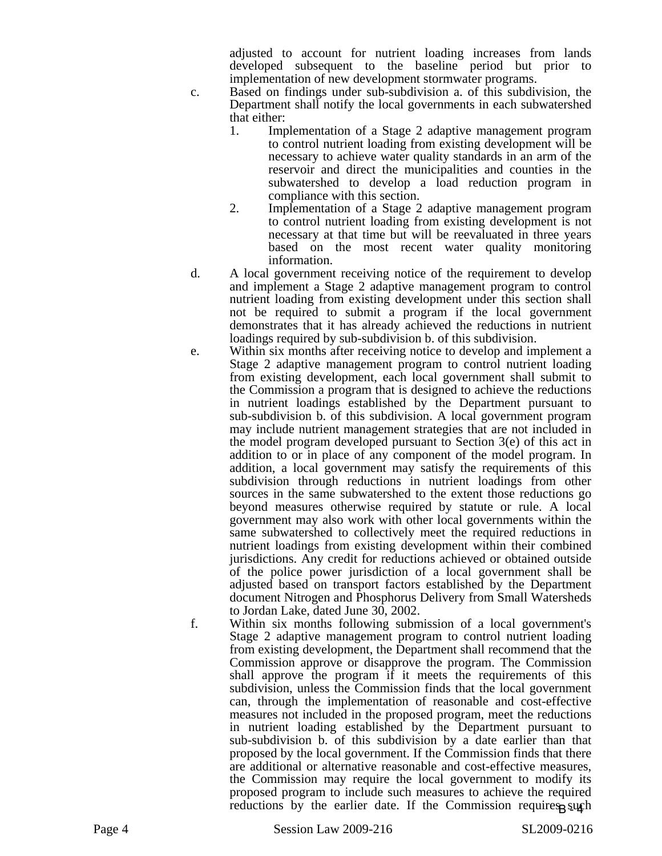adjusted to account for nutrient loading increases from lands developed subsequent to the baseline period but prior to implementation of new development stormwater programs.

- c. Based on findings under sub-subdivision a. of this subdivision, the Department shall notify the local governments in each subwatershed that either:
	- 1. Implementation of a Stage 2 adaptive management program to control nutrient loading from existing development will be necessary to achieve water quality standards in an arm of the reservoir and direct the municipalities and counties in the subwatershed to develop a load reduction program in compliance with this section.
	- 2. Implementation of a Stage 2 adaptive management program to control nutrient loading from existing development is not necessary at that time but will be reevaluated in three years based on the most recent water quality monitoring information.
- d. A local government receiving notice of the requirement to develop and implement a Stage 2 adaptive management program to control nutrient loading from existing development under this section shall not be required to submit a program if the local government demonstrates that it has already achieved the reductions in nutrient loadings required by sub-subdivision b. of this subdivision.
- e. Within six months after receiving notice to develop and implement a Stage 2 adaptive management program to control nutrient loading from existing development, each local government shall submit to the Commission a program that is designed to achieve the reductions in nutrient loadings established by the Department pursuant to sub-subdivision b. of this subdivision. A local government program may include nutrient management strategies that are not included in the model program developed pursuant to Section 3(e) of this act in addition to or in place of any component of the model program. In addition, a local government may satisfy the requirements of this subdivision through reductions in nutrient loadings from other sources in the same subwatershed to the extent those reductions go beyond measures otherwise required by statute or rule. A local government may also work with other local governments within the same subwatershed to collectively meet the required reductions in nutrient loadings from existing development within their combined jurisdictions. Any credit for reductions achieved or obtained outside of the police power jurisdiction of a local government shall be adjusted based on transport factors established by the Department document Nitrogen and Phosphorus Delivery from Small Watersheds to Jordan Lake, dated June 30, 2002.
- f. Within six months following submission of a local government's Stage 2 adaptive management program to control nutrient loading from existing development, the Department shall recommend that the Commission approve or disapprove the program. The Commission shall approve the program if it meets the requirements of this subdivision, unless the Commission finds that the local government can, through the implementation of reasonable and cost-effective measures not included in the proposed program, meet the reductions in nutrient loading established by the Department pursuant to sub-subdivision b. of this subdivision by a date earlier than that proposed by the local government. If the Commission finds that there are additional or alternative reasonable and cost-effective measures, the Commission may require the local government to modify its proposed program to include such measures to achieve the required reductions by the earlier date. If the Commission requires such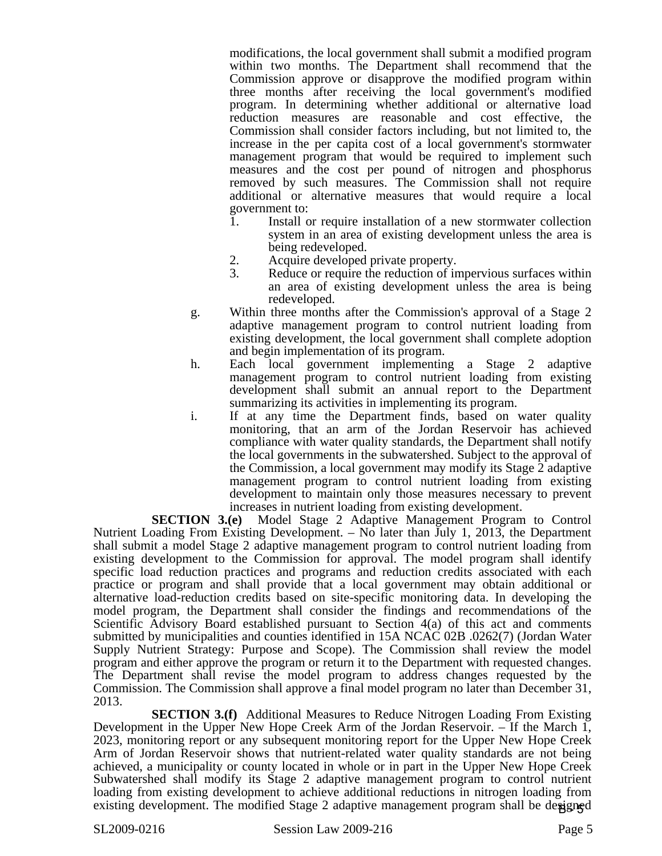modifications, the local government shall submit a modified program within two months. The Department shall recommend that the Commission approve or disapprove the modified program within three months after receiving the local government's modified program. In determining whether additional or alternative load reduction measures are reasonable and cost effective, the Commission shall consider factors including, but not limited to, the increase in the per capita cost of a local government's stormwater management program that would be required to implement such measures and the cost per pound of nitrogen and phosphorus removed by such measures. The Commission shall not require additional or alternative measures that would require a local government to:

- 1. Install or require installation of a new stormwater collection system in an area of existing development unless the area is being redeveloped.
- 
- 2. Acquire developed private property.<br>3. Reduce or require the reduction of in Reduce or require the reduction of impervious surfaces within an area of existing development unless the area is being redeveloped.
- g. Within three months after the Commission's approval of a Stage 2 adaptive management program to control nutrient loading from existing development, the local government shall complete adoption and begin implementation of its program.
- h. Each local government implementing a Stage 2 adaptive management program to control nutrient loading from existing development shall submit an annual report to the Department summarizing its activities in implementing its program.
- i. If at any time the Department finds, based on water quality monitoring, that an arm of the Jordan Reservoir has achieved compliance with water quality standards, the Department shall notify the local governments in the subwatershed. Subject to the approval of the Commission, a local government may modify its Stage 2 adaptive management program to control nutrient loading from existing development to maintain only those measures necessary to prevent increases in nutrient loading from existing development.

**SECTION 3.(e)** Model Stage 2 Adaptive Management Program to Control Nutrient Loading From Existing Development. – No later than July 1, 2013, the Department shall submit a model Stage 2 adaptive management program to control nutrient loading from existing development to the Commission for approval. The model program shall identify specific load reduction practices and programs and reduction credits associated with each practice or program and shall provide that a local government may obtain additional or alternative load-reduction credits based on site-specific monitoring data. In developing the model program, the Department shall consider the findings and recommendations of the Scientific Advisory Board established pursuant to Section 4(a) of this act and comments submitted by municipalities and counties identified in 15A NCAC 02B .0262(7) (Jordan Water Supply Nutrient Strategy: Purpose and Scope). The Commission shall review the model program and either approve the program or return it to the Department with requested changes. The Department shall revise the model program to address changes requested by the Commission. The Commission shall approve a final model program no later than December 31, 2013.

**SECTION 3.(f)** Additional Measures to Reduce Nitrogen Loading From Existing Development in the Upper New Hope Creek Arm of the Jordan Reservoir. – If the March 1, 2023, monitoring report or any subsequent monitoring report for the Upper New Hope Creek Arm of Jordan Reservoir shows that nutrient-related water quality standards are not being achieved, a municipality or county located in whole or in part in the Upper New Hope Creek Subwatershed shall modify its Stage 2 adaptive management program to control nutrient loading from existing development to achieve additional reductions in nitrogen loading from existing development. The modified Stage 2 adaptive management program shall be designed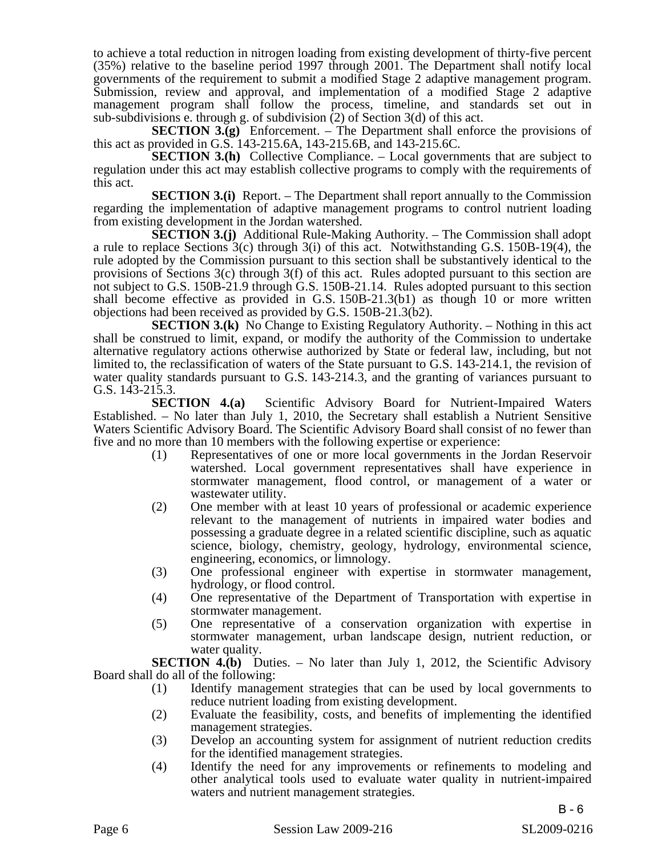to achieve a total reduction in nitrogen loading from existing development of thirty-five percent (35%) relative to the baseline period 1997 through 2001. The Department shall notify local governments of the requirement to submit a modified Stage 2 adaptive management program. Submission, review and approval, and implementation of a modified Stage 2 adaptive management program shall follow the process, timeline, and standards set out in sub-subdivisions e. through g. of subdivision (2) of Section 3(d) of this act.

**SECTION 3.(g)** Enforcement. – The Department shall enforce the provisions of this act as provided in G.S. 143-215.6A, 143-215.6B, and 143-215.6C.

**SECTION 3.(h)** Collective Compliance. – Local governments that are subject to regulation under this act may establish collective programs to comply with the requirements of this act.

**SECTION 3.(i)** Report. – The Department shall report annually to the Commission regarding the implementation of adaptive management programs to control nutrient loading from existing development in the Jordan watershed.

**SECTION 3.(j)** Additional Rule-Making Authority. – The Commission shall adopt a rule to replace Sections  $3(c)$  through  $3(i)$  of this act. Notwithstanding G.S. 150B-19(4), the rule adopted by the Commission pursuant to this section shall be substantively identical to the provisions of Sections 3(c) through 3(f) of this act. Rules adopted pursuant to this section are not subject to G.S. 150B-21.9 through G.S. 150B-21.14. Rules adopted pursuant to this section shall become effective as provided in G.S. 150B-21.3(b1) as though 10 or more written objections had been received as provided by G.S. 150B-21.3(b2).

**SECTION 3.(k)** No Change to Existing Regulatory Authority. – Nothing in this act shall be construed to limit, expand, or modify the authority of the Commission to undertake alternative regulatory actions otherwise authorized by State or federal law, including, but not limited to, the reclassification of waters of the State pursuant to G.S. 143-214.1, the revision of water quality standards pursuant to G.S. 143-214.3, and the granting of variances pursuant to

G.S. 143-215.3.<br>**SECTION** 4.(a) Scientific Advisory Board for Nutrient-Impaired Waters Established. – No later than July 1, 2010, the Secretary shall establish a Nutrient Sensitive Waters Scientific Advisory Board. The Scientific Advisory Board shall consist of no fewer than five and no more than 10 members with the following expertise or experience:

- (1) Representatives of one or more local governments in the Jordan Reservoir watershed. Local government representatives shall have experience in stormwater management, flood control, or management of a water or wastewater utility.
- (2) One member with at least 10 years of professional or academic experience relevant to the management of nutrients in impaired water bodies and possessing a graduate degree in a related scientific discipline, such as aquatic science, biology, chemistry, geology, hydrology, environmental science, engineering, economics, or limnology.
- (3) One professional engineer with expertise in stormwater management, hydrology, or flood control.
- (4) One representative of the Department of Transportation with expertise in stormwater management.
- (5) One representative of a conservation organization with expertise in stormwater management, urban landscape design, nutrient reduction, or water quality.

**SECTION 4.(b)** Duties. – No later than July 1, 2012, the Scientific Advisory Board shall do all of the following:

- (1) Identify management strategies that can be used by local governments to reduce nutrient loading from existing development.
- (2) Evaluate the feasibility, costs, and benefits of implementing the identified management strategies.
- (3) Develop an accounting system for assignment of nutrient reduction credits for the identified management strategies.
- (4) Identify the need for any improvements or refinements to modeling and other analytical tools used to evaluate water quality in nutrient-impaired waters and nutrient management strategies.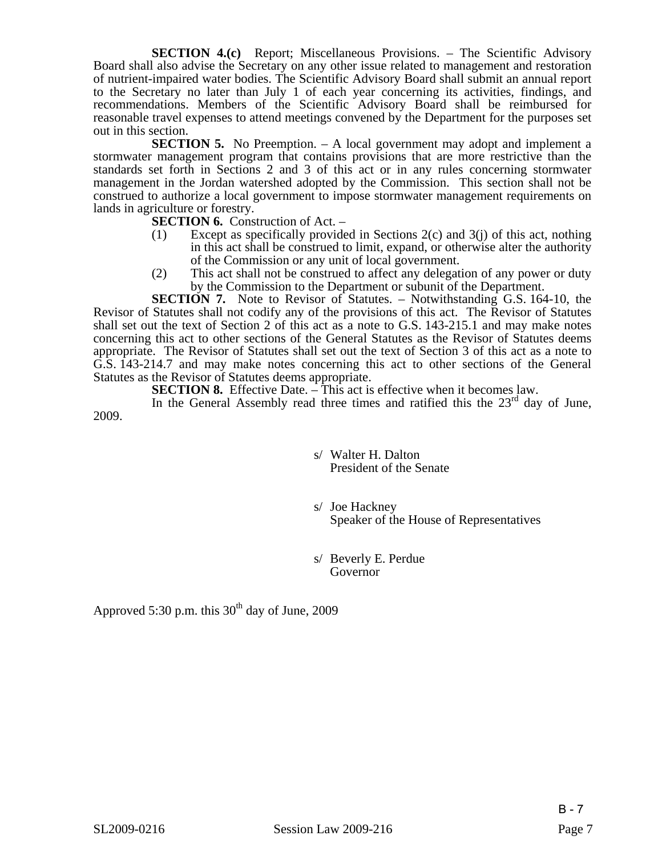**SECTION 4.(c)** Report; Miscellaneous Provisions. – The Scientific Advisory Board shall also advise the Secretary on any other issue related to management and restoration of nutrient-impaired water bodies. The Scientific Advisory Board shall submit an annual report to the Secretary no later than July 1 of each year concerning its activities, findings, and recommendations. Members of the Scientific Advisory Board shall be reimbursed for reasonable travel expenses to attend meetings convened by the Department for the purposes set out in this section.

**SECTION 5.** No Preemption. – A local government may adopt and implement a stormwater management program that contains provisions that are more restrictive than the standards set forth in Sections 2 and 3 of this act or in any rules concerning stormwater management in the Jordan watershed adopted by the Commission. This section shall not be construed to authorize a local government to impose stormwater management requirements on lands in agriculture or forestry.

**SECTION 6.** Construction of Act. –

- (1) Except as specifically provided in Sections 2(c) and 3(j) of this act, nothing in this act shall be construed to limit, expand, or otherwise alter the authority of the Commission or any unit of local government.
- (2) This act shall not be construed to affect any delegation of any power or duty by the Commission to the Department or subunit of the Department.

**SECTION 7.** Note to Revisor of Statutes. – Notwithstanding G.S. 164-10, the Revisor of Statutes shall not codify any of the provisions of this act. The Revisor of Statutes shall set out the text of Section 2 of this act as a note to G.S. 143-215.1 and may make notes concerning this act to other sections of the General Statutes as the Revisor of Statutes deems appropriate. The Revisor of Statutes shall set out the text of Section 3 of this act as a note to G.S. 143-214.7 and may make notes concerning this act to other sections of the General Statutes as the Revisor of Statutes deems appropriate.

**SECTION 8.** Effective Date. – This act is effective when it becomes law.

In the General Assembly read three times and ratified this the  $23<sup>rd</sup>$  day of June, 2009.

> s/ Walter H. Dalton President of the Senate

 s/ Joe Hackney Speaker of the House of Representatives

 s/ Beverly E. Perdue Governor

Approved 5:30 p.m. this  $30<sup>th</sup>$  day of June, 2009